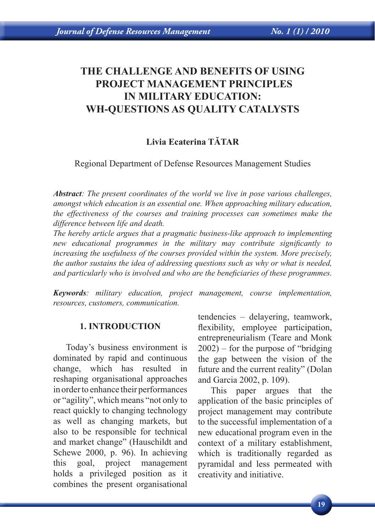# **THE CHALLENGE AND BENEFITS OF USING PROJECT MANAGEMENT PRINCIPLES IN MILITARY EDUCATION: WH-QUESTIONS AS QUALITY CATALYSTS**

# **Livia Ecaterina TĂTAR**

Regional Department of Defense Resources Management Studies

*Abstract: The present coordinates of the world we live in pose various challenges, amongst which education is an essential one. When approaching military education, the effectiveness of the courses and training processes can sometimes make the difference between life and death.*

*The hereby article argues that a pragmatic business-like approach to implementing new educational programmes in the military may contribute significantly to increasing the usefulness of the courses provided within the system. More precisely, the author sustains the idea of addressing questions such as why or what is needed, and particularly who is involved and who are the beneficiaries of these programmes.*

*Keywords: military education, project management, course implementation, resources, customers, communication.*

#### **1. INTRODUCTION**

Today's business environment is dominated by rapid and continuous change, which has resulted in reshaping organisational approaches in order to enhance their performances or "agility", which means "not only to react quickly to changing technology as well as changing markets, but also to be responsible for technical and market change" (Hauschildt and Schewe 2000, p. 96). In achieving this goal, project management holds a privileged position as it combines the present organisational

tendencies – delayering, teamwork, flexibility, employee participation, entrepreneurialism (Teare and Monk 2002) – for the purpose of "bridging the gap between the vision of the future and the current reality" (Dolan and Garcia 2002, p. 109).

This paper argues that the application of the basic principles of project management may contribute to the successful implementation of a new educational program even in the context of a military establishment, which is traditionally regarded as pyramidal and less permeated with creativity and initiative.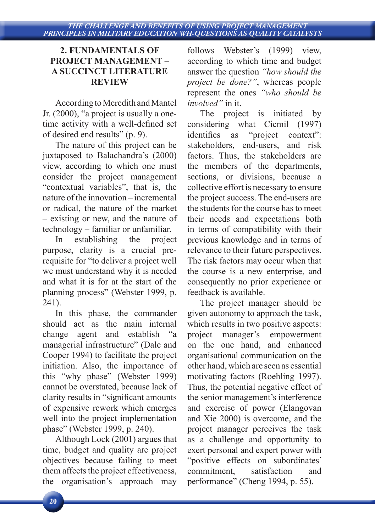### **2. FUNDAMENTALS OF PROJECT MANAGEMENT – A SUCCINCT LITERATURE REVIEW**

According to Meredith and Mantel Jr. (2000), "a project is usually a onetime activity with a well-defined set of desired end results" (p. 9).

The nature of this project can be juxtaposed to Balachandra's (2000) view, according to which one must consider the project management "contextual variables", that is, the nature of the innovation – incremental or radical, the nature of the market – existing or new, and the nature of technology – familiar or unfamiliar.

In establishing the project purpose, clarity is a crucial prerequisite for "to deliver a project well we must understand why it is needed and what it is for at the start of the planning process" (Webster 1999, p. 241).

In this phase, the commander should act as the main internal change agent and establish "a managerial infrastructure" (Dale and Cooper 1994) to facilitate the project initiation. Also, the importance of this "why phase" (Webster 1999) cannot be overstated, because lack of clarity results in "significant amounts of expensive rework which emerges well into the project implementation phase" (Webster 1999, p. 240).

Although Lock (2001) argues that time, budget and quality are project objectives because failing to meet them affects the project effectiveness, the organisation's approach may

follows Webster's (1999) view, according to which time and budget answer the question *"how should the project be done?"*, whereas people represent the ones *"who should be involved"* in it.

The project is initiated by considering what Cicmil (1997) identifies as "project context": stakeholders, end-users, and risk factors. Thus, the stakeholders are the members of the departments, sections, or divisions, because a collective effort is necessary to ensure the project success. The end-users are the students for the course has to meet their needs and expectations both in terms of compatibility with their previous knowledge and in terms of relevance to their future perspectives. The risk factors may occur when that the course is a new enterprise, and consequently no prior experience or feedback is available.

The project manager should be given autonomy to approach the task, which results in two positive aspects: project manager's empowerment on the one hand, and enhanced organisational communication on the other hand, which are seen as essential motivating factors (Roehling 1997). Thus, the potential negative effect of the senior management's interference and exercise of power (Elangovan and Xie 2000) is overcome, and the project manager perceives the task as a challenge and opportunity to exert personal and expert power with "positive effects on subordinates' commitment, satisfaction and performance" (Cheng 1994, p. 55).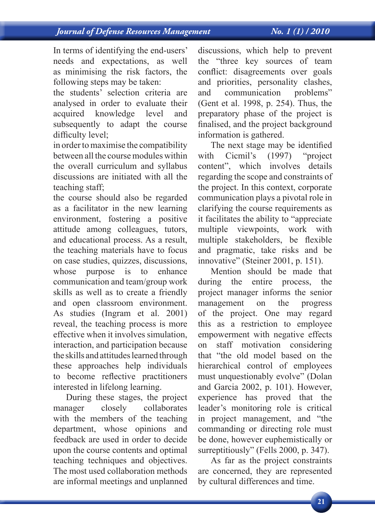In terms of identifying the end-users' needs and expectations, as well as minimising the risk factors, the following steps may be taken:

the students' selection criteria are analysed in order to evaluate their acquired knowledge level and subsequently to adapt the course difficulty level;

in order to maximise the compatibility between all the course modules within the overall curriculum and syllabus discussions are initiated with all the teaching staff;

the course should also be regarded as a facilitator in the new learning environment, fostering a positive attitude among colleagues, tutors, and educational process. As a result, the teaching materials have to focus on case studies, quizzes, discussions, whose purpose is to enhance communication and team/group work skills as well as to create a friendly and open classroom environment. As studies (Ingram et al. 2001) reveal, the teaching process is more effective when it involves simulation, interaction, and participation because the skills and attitudes learned through these approaches help individuals to become reflective practitioners interested in lifelong learning.

During these stages, the project manager closely collaborates with the members of the teaching department, whose opinions and feedback are used in order to decide upon the course contents and optimal teaching techniques and objectives. The most used collaboration methods are informal meetings and unplanned discussions, which help to prevent the "three key sources of team conflict: disagreements over goals and priorities, personality clashes, and communication problems" (Gent et al. 1998, p. 254). Thus, the preparatory phase of the project is finalised, and the project background information is gathered.

The next stage may be identified with Cicmil's (1997) "project content", which involves details regarding the scope and constraints of the project. In this context, corporate communication plays a pivotal role in clarifying the course requirements as it facilitates the ability to "appreciate multiple viewpoints, work with multiple stakeholders, be flexible and pragmatic, take risks and be innovative" (Steiner 2001, p. 151).

Mention should be made that during the entire process, the project manager informs the senior management on the progress of the project. One may regard this as a restriction to employee empowerment with negative effects on staff motivation considering that "the old model based on the hierarchical control of employees must unquestionably evolve" (Dolan and Garcia 2002, p. 101). However, experience has proved that the leader's monitoring role is critical in project management, and "the commanding or directing role must be done, however euphemistically or surreptitiously" (Fells 2000, p. 347).

As far as the project constraints are concerned, they are represented by cultural differences and time.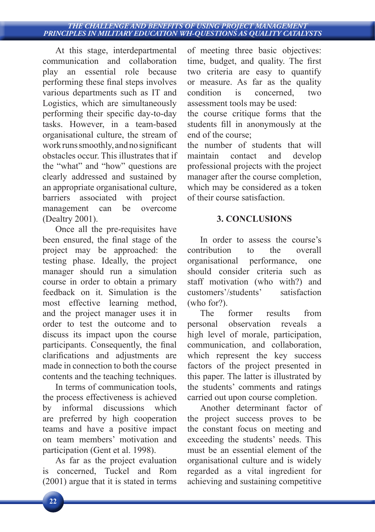#### *THE CHALLENGE AND BENEFITS OF USING PROJECT MANAGEMENT PRINCIPLES IN MILITARY EDUCATION WH-QUESTIONS AS QUALITY CATALYSTS*

At this stage, interdepartmental communication and collaboration play an essential role because performing these final steps involves various departments such as IT and Logistics, which are simultaneously performing their specific day-to-day tasks. However, in a team-based organisational culture, the stream of work runs smoothly, and no significant obstacles occur. This illustrates that if the "what" and "how" questions are clearly addressed and sustained by an appropriate organisational culture, barriers associated with project management can be overcome (Dealtry 2001).

Once all the pre-requisites have been ensured, the final stage of the project may be approached: the testing phase. Ideally, the project manager should run a simulation course in order to obtain a primary feedback on it. Simulation is the most effective learning method, and the project manager uses it in order to test the outcome and to discuss its impact upon the course participants. Consequently, the final clarifications and adjustments are made in connection to both the course contents and the teaching techniques.

In terms of communication tools, the process effectiveness is achieved by informal discussions which are preferred by high cooperation teams and have a positive impact on team members' motivation and participation (Gent et al. 1998).

As far as the project evaluation is concerned, Tuckel and Rom (2001) argue that it is stated in terms of meeting three basic objectives: time, budget, and quality. The first two criteria are easy to quantify or measure. As far as the quality condition is concerned, two assessment tools may be used:

the course critique forms that the students fill in anonymously at the end of the course;

the number of students that will maintain contact and develop professional projects with the project manager after the course completion, which may be considered as a token of their course satisfaction.

## **3. CONCLUSIONS**

In order to assess the course's contribution to the overall organisational performance, one should consider criteria such as staff motivation (who with?) and customers'/students' satisfaction (who for?).

The former results from personal observation reveals a high level of morale, participation, communication, and collaboration, which represent the key success factors of the project presented in this paper. The latter is illustrated by the students' comments and ratings carried out upon course completion.

Another determinant factor of the project success proves to be the constant focus on meeting and exceeding the students' needs. This must be an essential element of the organisational culture and is widely regarded as a vital ingredient for achieving and sustaining competitive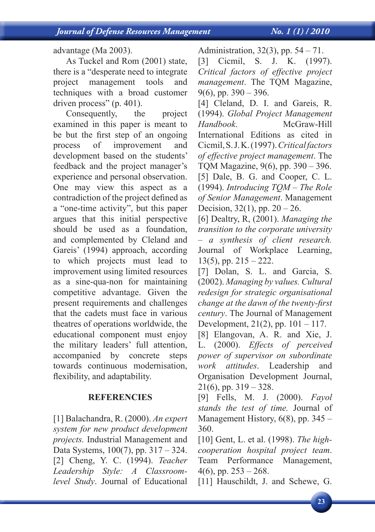advantage (Ma 2003).

As Tuckel and Rom (2001) state, there is a "desperate need to integrate project management tools and techniques with a broad customer driven process" (p. 401).

Consequently, the project examined in this paper is meant to be but the first step of an ongoing process of improvement and development based on the students' feedback and the project manager's experience and personal observation. One may view this aspect as a contradiction of the project defined as a "one-time activity", but this paper argues that this initial perspective should be used as a foundation, and complemented by Cleland and Gareis' (1994) approach, according to which projects must lead to improvement using limited resources as a sine-qua-non for maintaining competitive advantage. Given the present requirements and challenges that the cadets must face in various theatres of operations worldwide, the educational component must enjoy the military leaders' full attention, accompanied by concrete steps towards continuous modernisation, flexibility, and adaptability.

# **REFERENCIES**

[1] Balachandra, R. (2000). *An expert system for new product development projects.* Industrial Management and Data Systems, 100(7), pp. 317 – 324. [2] Cheng, Y. C. (1994). *Teacher Leadership Style: A Classroomlevel Study*. Journal of Educational

Administration, 32(3), pp. 54 – 71.

[3] Cicmil, S. J. K. (1997). *Critical factors of effective project management*. The TQM Magazine,  $9(6)$ , pp.  $390 - 396$ .

[4] Cleland, D. I. and Gareis, R. (1994). *Global Project Management Handbook*. McGraw-Hill International Editions as cited in Cicmil, S. J. K. (1997). *Critical factors of effective project management*. The TQM Magazine, 9(6), pp. 390 – 396. [5] Dale, B. G. and Cooper, C. L. (1994). *Introducing TQM – The Role of Senior Management*. Management Decision,  $32(1)$ , pp.  $20 - 26$ .

[6] Dealtry, R, (2001). *Managing the transition to the corporate university – a synthesis of client research.*  Journal of Workplace Learning,  $13(5)$ , pp.  $215 - 222$ .

[7] Dolan, S. L. and Garcia, S. (2002). *Managing by values. Cultural redesign for strategic organisational change at the dawn of the twenty-first century*. The Journal of Management Development, 21(2), pp. 101 – 117.

[8] Elangovan, A. R. and Xie, J. L. (2000). *Effects of perceived power of supervisor on subordinate work attitudes*. Leadership and Organisation Development Journal,  $21(6)$ , pp.  $319 - 328$ .

[9] Fells, M. J. (2000). *Fayol stands the test of time.* Journal of Management History,  $6(8)$ , pp. 345 – 360.

[10] Gent, L. et al. (1998). *The highcooperation hospital project team*. Team Performance Management,  $4(6)$ , pp.  $253 - 268$ .

[11] Hauschildt, J. and Schewe, G.